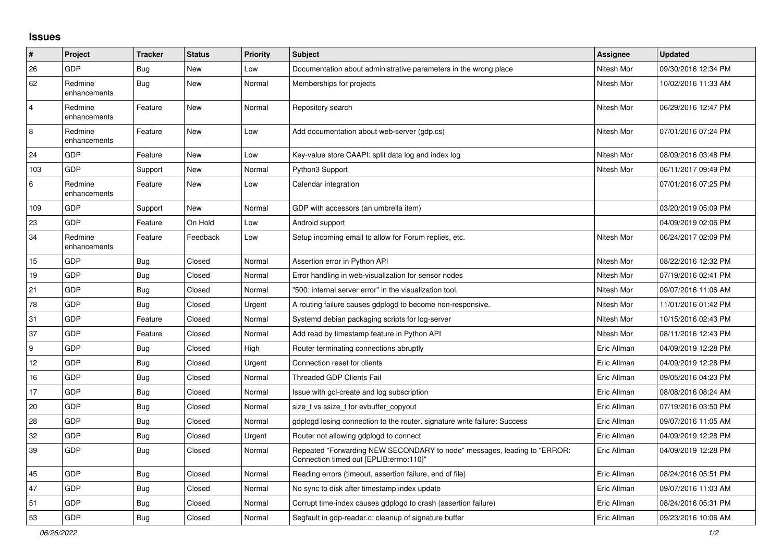## **Issues**

| ∣#             | Project                 | <b>Tracker</b> | <b>Status</b> | <b>Priority</b> | <b>Subject</b>                                                                                                      | <b>Assignee</b> | <b>Updated</b>      |
|----------------|-------------------------|----------------|---------------|-----------------|---------------------------------------------------------------------------------------------------------------------|-----------------|---------------------|
| 26             | <b>GDP</b>              | Bug            | <b>New</b>    | Low             | Documentation about administrative parameters in the wrong place                                                    | Nitesh Mor      | 09/30/2016 12:34 PM |
| 62             | Redmine<br>enhancements | <b>Bug</b>     | New           | Normal          | Memberships for projects                                                                                            | Nitesh Mor      | 10/02/2016 11:33 AM |
| $\overline{4}$ | Redmine<br>enhancements | Feature        | New           | Normal          | Repository search                                                                                                   | Nitesh Mor      | 06/29/2016 12:47 PM |
| 8              | Redmine<br>enhancements | Feature        | <b>New</b>    | Low             | Add documentation about web-server (gdp.cs)                                                                         | Nitesh Mor      | 07/01/2016 07:24 PM |
| 24             | <b>GDP</b>              | Feature        | <b>New</b>    | Low             | Key-value store CAAPI: split data log and index log                                                                 | Nitesh Mor      | 08/09/2016 03:48 PM |
| 103            | GDP                     | Support        | New           | Normal          | Python3 Support                                                                                                     | Nitesh Mor      | 06/11/2017 09:49 PM |
| $\,6\,$        | Redmine<br>enhancements | Feature        | <b>New</b>    | Low             | Calendar integration                                                                                                |                 | 07/01/2016 07:25 PM |
| 109            | <b>GDP</b>              | Support        | <b>New</b>    | Normal          | GDP with accessors (an umbrella item)                                                                               |                 | 03/20/2019 05:09 PM |
| 23             | GDP                     | Feature        | On Hold       | Low             | Android support                                                                                                     |                 | 04/09/2019 02:06 PM |
| 34             | Redmine<br>enhancements | Feature        | Feedback      | Low             | Setup incoming email to allow for Forum replies, etc.                                                               | Nitesh Mor      | 06/24/2017 02:09 PM |
| 15             | GDP                     | Bug            | Closed        | Normal          | Assertion error in Python API                                                                                       | Nitesh Mor      | 08/22/2016 12:32 PM |
| 19             | <b>GDP</b>              | Bug            | Closed        | Normal          | Error handling in web-visualization for sensor nodes                                                                | Nitesh Mor      | 07/19/2016 02:41 PM |
| 21             | GDP                     | Bug            | Closed        | Normal          | "500: internal server error" in the visualization tool.                                                             | Nitesh Mor      | 09/07/2016 11:06 AM |
| 78             | <b>GDP</b>              | <b>Bug</b>     | Closed        | Urgent          | A routing failure causes gdplogd to become non-responsive.                                                          | Nitesh Mor      | 11/01/2016 01:42 PM |
| 31             | <b>GDP</b>              | Feature        | Closed        | Normal          | Systemd debian packaging scripts for log-server                                                                     | Nitesh Mor      | 10/15/2016 02:43 PM |
| 37             | <b>GDP</b>              | Feature        | Closed        | Normal          | Add read by timestamp feature in Python API                                                                         | Nitesh Mor      | 08/11/2016 12:43 PM |
| 9              | <b>GDP</b>              | <b>Bug</b>     | Closed        | High            | Router terminating connections abruptly                                                                             | Eric Allman     | 04/09/2019 12:28 PM |
| 12             | GDP                     | <b>Bug</b>     | Closed        | Urgent          | Connection reset for clients                                                                                        | Eric Allman     | 04/09/2019 12:28 PM |
| 16             | <b>GDP</b>              | Bug            | Closed        | Normal          | <b>Threaded GDP Clients Fail</b>                                                                                    | Eric Allman     | 09/05/2016 04:23 PM |
| 17             | GDP                     | <b>Bug</b>     | Closed        | Normal          | Issue with gcl-create and log subscription                                                                          | Eric Allman     | 08/08/2016 08:24 AM |
| 20             | GDP                     | <b>Bug</b>     | Closed        | Normal          | size t vs ssize t for evbuffer copyout                                                                              | Eric Allman     | 07/19/2016 03:50 PM |
| 28             | <b>GDP</b>              | <b>Bug</b>     | Closed        | Normal          | gdplogd losing connection to the router, signature write failure: Success                                           | Eric Allman     | 09/07/2016 11:05 AM |
| 32             | <b>GDP</b>              | <b>Bug</b>     | Closed        | Urgent          | Router not allowing gdplogd to connect                                                                              | Eric Allman     | 04/09/2019 12:28 PM |
| 39             | GDP                     | <b>Bug</b>     | Closed        | Normal          | Repeated "Forwarding NEW SECONDARY to node" messages, leading to "ERROR:<br>Connection timed out [EPLIB:errno:110]" | Eric Allman     | 04/09/2019 12:28 PM |
| 45             | GDP                     | Bug            | Closed        | Normal          | Reading errors (timeout, assertion failure, end of file)                                                            | Eric Allman     | 08/24/2016 05:51 PM |
| 47             | GDP                     | <b>Bug</b>     | Closed        | Normal          | No sync to disk after timestamp index update                                                                        | Eric Allman     | 09/07/2016 11:03 AM |
| 51             | GDP                     | Bug            | Closed        | Normal          | Corrupt time-index causes gdplogd to crash (assertion failure)                                                      | Eric Allman     | 08/24/2016 05:31 PM |
| 53             | GDP                     | Bug            | Closed        | Normal          | Segfault in gdp-reader.c; cleanup of signature buffer                                                               | Eric Allman     | 09/23/2016 10:06 AM |